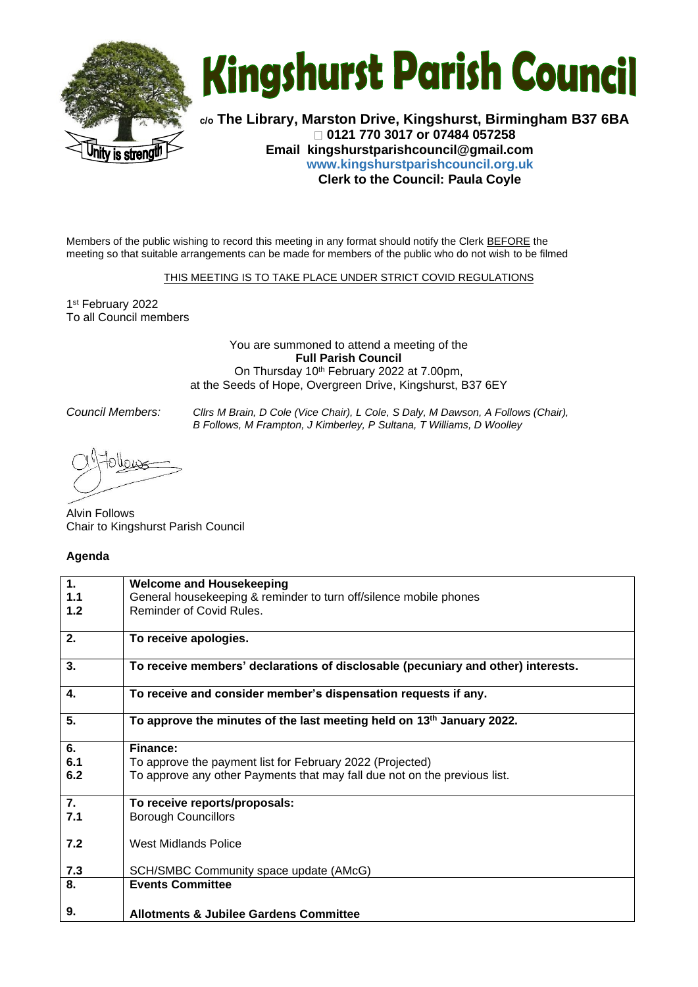



**c/o The Library, Marston Drive, Kingshurst, Birmingham B37 6BA 0121 770 3017 or 07484 057258 Email [kingshurstparishcouncil@gmail.com](mailto:kingshurstparishcouncil@gmail.com) www.kingshurstparishcouncil.org.uk Clerk to the Council: Paula Coyle** 

Members of the public wishing to record this meeting in any format should notify the Clerk BEFORE the meeting so that suitable arrangements can be made for members of the public who do not wish to be filmed

THIS MEETING IS TO TAKE PLACE UNDER STRICT COVID REGULATIONS

1 st February 2022 To all Council members

> You are summoned to attend a meeting of the **Full Parish Council** On Thursday 10<sup>th</sup> February 2022 at 7.00pm, at the Seeds of Hope, Overgreen Drive, Kingshurst, B37 6EY

*Council Members: Cllrs M Brain, D Cole (Vice Chair), L Cole, S Daly, M Dawson, A Follows (Chair), B Follows, M Frampton, J Kimberley, P Sultana, T Williams, D Woolley*

Alvin Follows Chair to Kingshurst Parish Council

## **Agenda**

| $\mathbf 1$ .    | <b>Welcome and Housekeeping</b>                                                   |
|------------------|-----------------------------------------------------------------------------------|
| 1.1              | General housekeeping & reminder to turn off/silence mobile phones                 |
| 1.2              | Reminder of Covid Rules.                                                          |
| 2.               | To receive apologies.                                                             |
| 3.               | To receive members' declarations of disclosable (pecuniary and other) interests.  |
| 4.               | To receive and consider member's dispensation requests if any.                    |
| 5.               | To approve the minutes of the last meeting held on 13 <sup>th</sup> January 2022. |
| 6.               | Finance:                                                                          |
| 6.1              | To approve the payment list for February 2022 (Projected)                         |
| 6.2              | To approve any other Payments that may fall due not on the previous list.         |
| $\overline{7}$ . | To receive reports/proposals:                                                     |
| 7.1              | <b>Borough Councillors</b>                                                        |
| 7.2              | West Midlands Police                                                              |
| 7.3              | SCH/SMBC Community space update (AMcG)                                            |
| 8.               | <b>Events Committee</b>                                                           |
| 9.               | <b>Allotments &amp; Jubilee Gardens Committee</b>                                 |